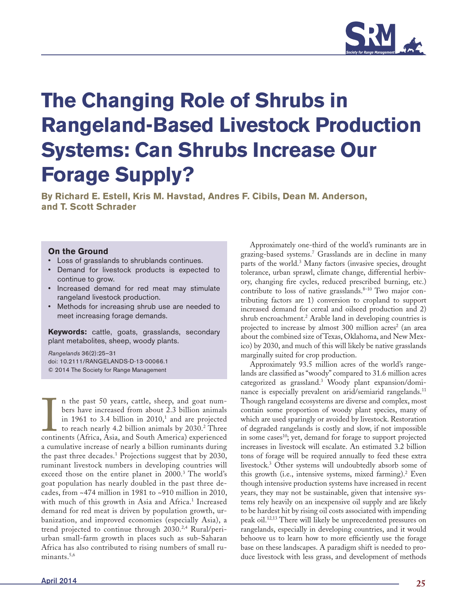

# **The Changing Role of Shrubs in Rangeland-Based Livestock Production Systems: Can Shrubs Increase Our Forage Supply?**

**By Richard E. Estell, Kris M. Havstad, Andres F. Cibils, Dean M. Anderson, and T. Scott Schrader**

## **On the Ground**

- Loss of grasslands to shrublands continues.
- Demand for livestock products is expected to continue to grow.
- Increased demand for red meat may stimulate rangeland livestock production.
- Methods for increasing shrub use are needed to meet increasing forage demands.

**Keywords:** cattle, goats, grasslands, secondary plant metabolites, sheep, woody plants.

*Rangelands* 36(2):25–31 doi: 10.2111/RANGELANDS-D-13-00066.1 © 2014 The Society for Range Management

In the past 50 years, cattle, sheep, and goat numbers have increased from about 2.3 billion animals in 1961 to 3.4 billion in 2010,<sup>1</sup> and are projected to reach nearly 4.2 billion animals by 2030.<sup>2</sup> Three continents (Afr n the past 50 years, cattle, sheep, and goat numbers have increased from about 2.3 billion animals in 1961 to 3.4 billion in  $2010<sup>1</sup>$  and are projected to reach nearly 4.2 billion animals by 2030.<sup>2</sup> Three a cumulative increase of nearly a billion ruminants during the past three decades.<sup>1</sup> Projections suggest that by 2030, ruminant livestock numbers in developing countries will exceed those on the entire planet in 2000.<sup>3</sup> The world's goat population has nearly doubled in the past three decades, from ~474 million in 1981 to ~910 million in 2010, with much of this growth in Asia and Africa.<sup>1</sup> Increased demand for red meat is driven by population growth, urbanization, and improved economies (especially Asia), a trend projected to continue through 2030.2,4 Rural/periurban small-farm growth in places such as sub-Saharan Africa has also contributed to rising numbers of small ruminants.<sup>5,6</sup>

Approximately one-third of the world's ruminants are in grazing-based systems.7 Grasslands are in decline in many parts of the world.3 Many factors (invasive species, drought tolerance, urban sprawl, climate change, differential herbivory, changing fire cycles, reduced prescribed burning, etc.) contribute to loss of native grasslands. $8-10$  Two major contributing factors are 1) conversion to cropland to support increased demand for cereal and oilseed production and 2) shrub encroachment.<sup>2</sup> Arable land in developing countries is projected to increase by almost 300 million acres<sup>2</sup> (an area about the combined size of Texas, Oklahoma, and New Mexico) by 2030, and much of this will likely be native grasslands marginally suited for crop production.

Approximately 93.5 million acres of the world's rangelands are classified as "woody" compared to 31.6 million acres categorized as grassland.3 Woody plant expansion/dominance is especially prevalent on arid/semiarid rangelands.<sup>11</sup> Though rangeland ecosystems are diverse and complex, most contain some proportion of woody plant species, many of which are used sparingly or avoided by livestock. Restoration of degraded rangelands is costly and slow, if not impossible in some cases<sup>10</sup>; yet, demand for forage to support projected increases in livestock will escalate. An estimated 3.2 billion tons of forage will be required annually to feed these extra livestock.3 Other systems will undoubtedly absorb some of this growth (i.e., intensive systems, mixed farming).2 Even though intensive production systems have increased in recent years, they may not be sustainable, given that intensive systems rely heavily on an inexpensive oil supply and are likely to be hardest hit by rising oil costs associated with impending peak oil.12,13 There will likely be unprecedented pressures on rangelands, especially in developing countries, and it would behoove us to learn how to more efficiently use the forage base on these landscapes. A paradigm shift is needed to produce livestock with less grass, and development of methods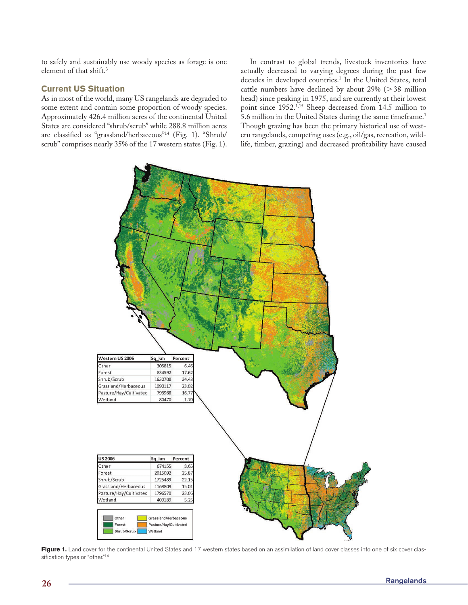to safely and sustainably use woody species as forage is one element of that shift.3

# **Current US Situation**

As in most of the world, many US rangelands are degraded to some extent and contain some proportion of woody species. Approximately 426.4 million acres of the continental United States are considered "shrub/scrub" while 288.8 million acres are classified as "grassland/herbaceous"14 (Fig. 1). "Shrub/ scrub" comprises nearly 35% of the 17 western states (Fig. 1).

In contrast to global trends, livestock inventories have actually decreased to varying degrees during the past few decades in developed countries.<sup>1</sup> In the United States, total cattle numbers have declined by about  $29\%$  ( $>38$  million head) since peaking in 1975, and are currently at their lowest point since 1952.1,15 Sheep decreased from 14.5 million to 5.6 million in the United States during the same timeframe.1 Though grazing has been the primary historical use of western rangelands, competing uses (e.g., oil/gas, recreation, wildlife, timber, grazing) and decreased profitability have caused



Figure 1. Land cover for the continental United States and 17 western states based on an assimilation of land cover classes into one of six cover classification types or "other."<sup>14</sup>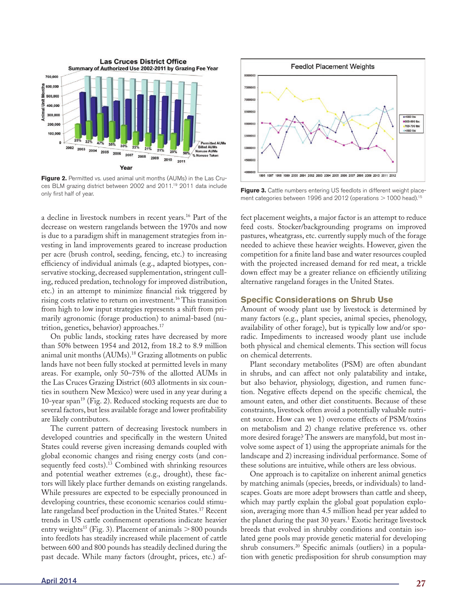

**Figure 2.** Permitted vs. used animal unit months (AUMs) in the Las Cruces BLM grazing district between 2002 and 2011.19 2011 data include only first half of year.<br> **Figure 3.** Cattle numbers entering US feedlots in different weight place-<br>  $\frac{1000}{2} + \frac{1000}{2}$ 

a decline in livestock numbers in recent years.16 Part of the decrease on western rangelands between the 1970s and now is due to a paradigm shift in management strategies from investing in land improvements geared to increase production per acre (brush control, seeding, fencing, etc.) to increasing efficiency of individual animals (e.g., adapted biotypes, conservative stocking, decreased supplementation, stringent culling, reduced predation, technology for improved distribution, etc.) in an attempt to minimize financial risk triggered by rising costs relative to return on investment.16 This transition from high to low input strategies represents a shift from primarily agronomic (forage production) to animal-based (nutrition, genetics, behavior) approaches.<sup>17</sup>

On public lands, stocking rates have decreased by more than 50% between 1954 and 2012, from 18.2 to 8.9 million animal unit months (AUMs).<sup>18</sup> Grazing allotments on public lands have not been fully stocked at permitted levels in many areas. For example, only 50–75% of the allotted AUMs in the Las Cruces Grazing District (603 allotments in six counties in southern New Mexico) were used in any year during a 10-year span<sup>19</sup> (Fig. 2). Reduced stocking requests are due to several factors, but less available forage and lower profitability are likely contributors.

The current pattern of decreasing livestock numbers in developed countries and specifically in the western United States could reverse given increasing demands coupled with global economic changes and rising energy costs (and consequently feed costs).<sup>13</sup> Combined with shrinking resources and potential weather extremes (e.g., drought), these factors will likely place further demands on existing rangelands. While pressures are expected to be especially pronounced in developing countries, these economic scenarios could stimulate rangeland beef production in the United States.<sup>17</sup> Recent trends in US cattle confinement operations indicate heavier entry weights<sup>15</sup> (Fig. 3). Placement of animals  $>800$  pounds into feedlots has steadily increased while placement of cattle between 600 and 800 pounds has steadily declined during the past decade. While many factors (drought, prices, etc.) af-



ment categories between 1996 and 2012 (operations  $>$  1000 head).<sup>15</sup>

fect placement weights, a major factor is an attempt to reduce feed costs. Stocker/backgrounding programs on improved pastures, wheatgrass, etc. currently supply much of the forage needed to achieve these heavier weights. However, given the competition for a finite land base and water resources coupled with the projected increased demand for red meat, a trickle down effect may be a greater reliance on efficiently utilizing alternative rangeland forages in the United States.

#### **Specific Considerations on Shrub Use**

Amount of woody plant use by livestock is determined by many factors (e.g., plant species, animal species, phenology, availability of other forage), but is typically low and/or sporadic. Impediments to increased woody plant use include both physical and chemical elements. This section will focus on chemical deterrents.

Plant secondary metabolites (PSM) are often abundant in shrubs, and can affect not only palatability and intake, but also behavior, physiology, digestion, and rumen function. Negative effects depend on the specific chemical, the amount eaten, and other diet constituents. Because of these constraints, livestock often avoid a potentially valuable nutrient source. How can we 1) overcome effects of PSM/toxins on metabolism and 2) change relative preference vs. other more desired forage? The answers are manyfold, but most involve some aspect of 1) using the appropriate animals for the landscape and 2) increasing individual performance. Some of these solutions are intuitive, while others are less obvious.

One approach is to capitalize on inherent animal genetics by matching animals (species, breeds, or individuals) to landscapes. Goats are more adept browsers than cattle and sheep, which may partly explain the global goat population explosion, averaging more than 4.5 million head per year added to the planet during the past 30 years.<sup>1</sup> Exotic heritage livestock breeds that evolved in shrubby conditions and contain isolated gene pools may provide genetic material for developing shrub consumers.20 Specific animals (outliers) in a population with genetic predisposition for shrub consumption may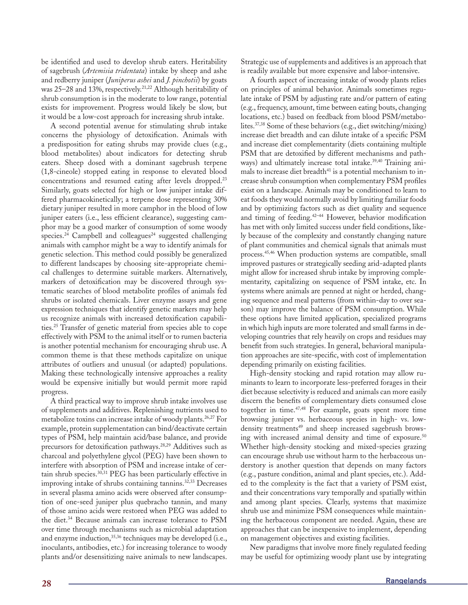be identified and used to develop shrub eaters. Heritability of sagebrush (*Artemisia tridentata*) intake by sheep and ashe and redberry juniper (*Juniperus ashei* and *J. pinchotii*) by goats was 25–28 and 13%, respectively.<sup>21,22</sup> Although heritability of shrub consumption is in the moderate to low range, potential exists for improvement. Progress would likely be slow, but it would be a low-cost approach for increasing shrub intake.

A second potential avenue for stimulating shrub intake concerns the physiology of detoxification. Animals with a predisposition for eating shrubs may provide clues (e.g., blood metabolites) about indicators for detecting shrub eaters. Sheep dosed with a dominant sagebrush terpene (1,8-cineole) stopped eating in response to elevated blood concentrations and resumed eating after levels dropped.23 Similarly, goats selected for high or low juniper intake differed pharmacokinetically; a terpene dose representing 30% dietary juniper resulted in more camphor in the blood of low juniper eaters (i.e., less efficient clearance), suggesting camphor may be a good marker of consumption of some woody species.<sup>24</sup> Campbell and colleagues<sup>24</sup> suggested challenging animals with camphor might be a way to identify animals for genetic selection. This method could possibly be generalized to different landscapes by choosing site-appropriate chemical challenges to determine suitable markers. Alternatively, markers of detoxification may be discovered through systematic searches of blood metabolite profiles of animals fed shrubs or isolated chemicals. Liver enzyme assays and gene expression techniques that identify genetic markers may help us recognize animals with increased detoxification capabilities.25 Transfer of genetic material from species able to cope effectively with PSM to the animal itself or to rumen bacteria is another potential mechanism for encouraging shrub use. A common theme is that these methods capitalize on unique attributes of outliers and unusual (or adapted) populations. Making these technologically intensive approaches a reality would be expensive initially but would permit more rapid progress.

A third practical way to improve shrub intake involves use of supplements and additives. Replenishing nutrients used to metabolize toxins can increase intake of woody plants.26,27 For example, protein supplementation can bind/deactivate certain types of PSM, help maintain acid/base balance, and provide precursors for detoxification pathways.28,29 Additives such as charcoal and polyethylene glycol (PEG) have been shown to interfere with absorption of PSM and increase intake of certain shrub species.30,31 PEG has been particularly effective in improving intake of shrubs containing tannins.32,33 Decreases in several plasma amino acids were observed after consumption of one-seed juniper plus quebracho tannin, and many of those amino acids were restored when PEG was added to the diet.34 Because animals can increase tolerance to PSM over time through mechanisms such as microbial adaptation and enzyme induction, 35,36 techniques may be developed (i.e., inoculants, antibodies, etc.) for increasing tolerance to woody plants and/or desensitizing naive animals to new landscapes. Strategic use of supplements and additives is an approach that is readily available but more expensive and labor-intensive.

A fourth aspect of increasing intake of woody plants relies on principles of animal behavior. Animals sometimes regulate intake of PSM by adjusting rate and/or pattern of eating (e.g., frequency, amount, time between eating bouts, changing locations, etc.) based on feedback from blood PSM/metabolites.37,38 Some of these behaviors (e.g., diet switching/mixing) increase diet breadth and can dilute intake of a specific PSM and increase diet complementarity (diets containing multiple PSM that are detoxified by different mechanisms and pathways) and ultimately increase total intake.<sup>39,40</sup> Training animals to increase diet breadth<sup>41</sup> is a potential mechanism to increase shrub consumption when complementary PSM profiles exist on a landscape. Animals may be conditioned to learn to eat foods they would normally avoid by limiting familiar foods and by optimizing factors such as diet quality and sequence and timing of feeding.42–44 However, behavior modification has met with only limited success under field conditions, likely because of the complexity and constantly changing nature of plant communities and chemical signals that animals must process.45,46 When production systems are compatible, small improved pastures or strategically seeding arid-adapted plants might allow for increased shrub intake by improving complementarity, capitalizing on sequence of PSM intake, etc. In systems where animals are penned at night or herded, changing sequence and meal patterns (from within-day to over season) may improve the balance of PSM consumption. While these options have limited application, specialized programs in which high inputs are more tolerated and small farms in developing countries that rely heavily on crops and residues may benefit from such strategies. In general, behavioral manipulation approaches are site-specific, with cost of implementation depending primarily on existing facilities.

High-density stocking and rapid rotation may allow ruminants to learn to incorporate less-preferred forages in their diet because selectivity is reduced and animals can more easily discern the benefits of complementary diets consumed close together in time.47,48 For example, goats spent more time browsing juniper vs. herbaceous species in high- vs. lowdensity treatments<sup>49</sup> and sheep increased sagebrush browsing with increased animal density and time of exposure.<sup>50</sup> Whether high-density stocking and mixed-species grazing can encourage shrub use without harm to the herbaceous understory is another question that depends on many factors (e.g., pasture condition, animal and plant species, etc.). Added to the complexity is the fact that a variety of PSM exist, and their concentrations vary temporally and spatially within and among plant species. Clearly, systems that maximize shrub use and minimize PSM consequences while maintaining the herbaceous component are needed. Again, these are approaches that can be inexpensive to implement, depending on management objectives and existing facilities.

New paradigms that involve more finely regulated feeding may be useful for optimizing woody plant use by integrating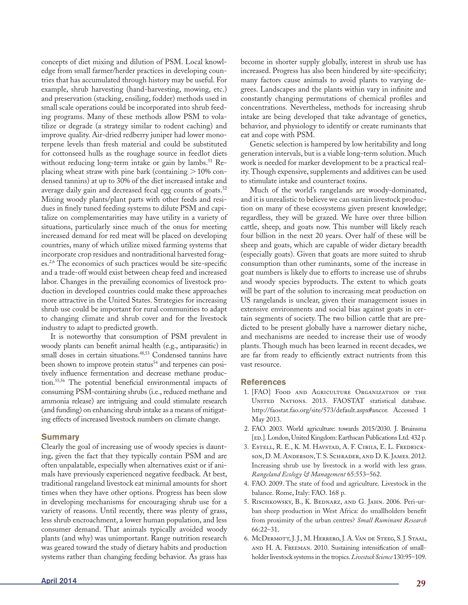concepts of diet mixing and dilution of PSM. Local knowledge from small farmer/herder practices in developing countries that has accumulated through history may be useful. For example, shrub harvesting (hand-harvesting, mowing, etc.) and preservation (stacking, ensiling, fodder) methods used in small scale operations could be incorporated into shrub feeding programs. Many of these methods allow PSM to volatilize or degrade (a strategy similar to rodent caching) and improve quality. Air-dried redberry juniper had lower monoterpene levels than fresh material and could be substituted for cottonseed hulls as the roughage source in feedlot diets without reducing long-term intake or gain by lambs.<sup>51</sup> Replacing wheat straw with pine bark (containing  $>10\%$  condensed tannins) at up to 30% of the diet increased intake and average daily gain and decreased fecal egg counts of goats.<sup>52</sup> Mixing woody plants/plant parts with other feeds and residues in finely tuned feeding systems to dilute PSM and capitalize on complementarities may have utility in a variety of situations, particularly since much of the onus for meeting increased demand for red meat will be placed on developing countries, many of which utilize mixed farming systems that incorporate crop residues and nontraditional harvested forages.2,6 The economics of such practices would be site-specific and a trade-off would exist between cheap feed and increased labor. Changes in the prevailing economics of livestock production in developed countries could make these approaches more attractive in the United States. Strategies for increasing shrub use could be important for rural communities to adapt to changing climate and shrub cover and for the livestock industry to adapt to predicted growth.

It is noteworthy that consumption of PSM prevalent in woody plants can benefit animal health (e.g., antiparasitic) in small doses in certain situations.<sup>48,53</sup> Condensed tannins have been shown to improve protein status<sup>54</sup> and terpenes can positively influence fermentation and decrease methane production.55,56 The potential beneficial environmental impacts of consuming PSM-containing shrubs (i.e., reduced methane and ammonia release) are intriguing and could stimulate research (and funding) on enhancing shrub intake as a means of mitigating effects of increased livestock numbers on climate change.

## **Summary**

Clearly the goal of increasing use of woody species is daunting, given the fact that they typically contain PSM and are often unpalatable, especially when alternatives exist or if animals have previously experienced negative feedback. At best, traditional rangeland livestock eat minimal amounts for short times when they have other options. Progress has been slow in developing mechanisms for encouraging shrub use for a variety of reasons. Until recently, there was plenty of grass, less shrub encroachment, a lower human population, and less consumer demand. That animals typically avoided woody plants (and why) was unimportant. Range nutrition research was geared toward the study of dietary habits and production systems rather than changing feeding behavior. As grass has

are far from ready to efficiently extract nutrients from this vast resource. **References**

1. [FAO] Food and Agriculture Organization of the UNITED NATIONS. 2013. FAOSTAT statistical database. http://faostat.fao.org/site/573/default.aspx#ancor. Accessed 1 May 2013.

become in shorter supply globally, interest in shrub use has increased. Progress has also been hindered by site-specificity; many factors cause animals to avoid plants to varying degrees. Landscapes and the plants within vary in infinite and constantly changing permutations of chemical profiles and concentrations. Nevertheless, methods for increasing shrub intake are being developed that take advantage of genetics, behavior, and physiology to identify or create ruminants that

Genetic selection is hampered by low heritability and long generation intervals, but is a viable long-term solution. Much work is needed for marker development to be a practical reality. Though expensive, supplements and additives can be used

Much of the world's rangelands are woody-dominated, and it is unrealistic to believe we can sustain livestock production on many of these ecosystems given present knowledge; regardless, they will be grazed. We have over three billion cattle, sheep, and goats now. This number will likely reach four billion in the next 20 years. Over half of these will be sheep and goats, which are capable of wider dietary breadth (especially goats). Given that goats are more suited to shrub consumption than other ruminants, some of the increase in goat numbers is likely due to efforts to increase use of shrubs and woody species byproducts. The extent to which goats will be part of the solution to increasing meat production on US rangelands is unclear, given their management issues in extensive environments and social bias against goats in certain segments of society. The two billion cattle that are predicted to be present globally have a narrower dietary niche, and mechanisms are needed to increase their use of woody plants. Though much has been learned in recent decades, we

eat and cope with PSM.

to stimulate intake and counteract toxins.

- 2. FAO. 2003. World agriculture: towards 2015/2030. J. Bruinsma [ED.]. London, United Kingdom: Earthscan Publications Ltd. 432 p.
- 3. Estell, R. E., K. M. Havstad, A. F. Cibils, E. L. Fredrickson, D. M. Anderson, T. S. Schrader, and D. K. James. 2012. Increasing shrub use by livestock in a world with less grass. *Rangeland Ecology & Management* 65:553–562.
- 4. FAO. 2009. The state of food and agriculture. Livestock in the balance. Rome, Italy: FAO. 168 p.
- 5. Rischkowsky, B., K. Bednarz, and G. Jahn. 2006. Peri-urban sheep production in West Africa: do smallholders benefit from proximity of the urban centres? *Small Ruminant Research* 66:22–31.
- 6. McDermott, J. J., M. Herrero, J. A. Van de Steeg, S. J. Staal, and H. A. Freeman. 2010. Sustaining intensification of smallholder livestock systems in the tropics. *Livestock Science* 130:95–109.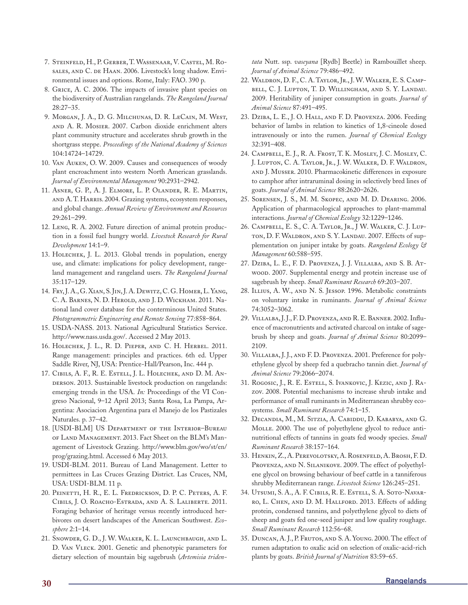- 7. Steinfeld, H., P. Gerber, T. Wassenaar, V. Castel, M. Rosales, and C. de Haan. 2006. Livestock's long shadow. Environmental issues and options. Rome, Italy: FAO. 390 p.
- 8. Grice, A. C. 2006. The impacts of invasive plant species on the biodiversity of Australian rangelands. *The Rangeland Journal* 28:27–35.
- 9. MORGAN, J. A., D. G. MILCHUNAS, D. R. LECAIN, M. WEST, and A. R. Mosier. 2007. Carbon dioxide enrichment alters plant community structure and accelerates shrub growth in the shortgrass steppe. *Proceedings of the National Academy of Sciences* 104:14724–14729.
- 10. Van Auken, O. W. 2009. Causes and consequences of woody plant encroachment into western North American grasslands. *Journal of Environmental Management* 90:2931–2942.
- 11. Asner, G. P., A. J. Elmore, L. P. Olander, R. E. Martin, and A. T. Harris. 2004. Grazing systems, ecosystem responses, and global change. *Annual Review of Environment and Resources* 29:261–299.
- 12. Leng, R. A. 2002. Future direction of animal protein production in a fossil fuel hungry world. *Livestock Research for Rural Development* 14:1–9.
- 13. Holechek, J. L. 2013. Global trends in population, energy use, and climate: implications for policy development, rangeland management and rangeland users. *The Rangeland Journal* 35:117–129.
- 14. Fry, J. A., G. Xian, S. Jin, J. A. Dewitz, C. G. Homer, L. Yang, C. A. BARNES, N. D. HEROLD, AND J. D. WICKHAM. 2011. National land cover database for the conterminous United States. *Photogrammetric Engineering and Remote Sensing* 77:858–864.
- 15. USDA-NASS. 2013. National Agricultural Statistics Service. http://www.nass.usda.gov/. Accessed 2 May 2013.
- 16. Holechek, J. L., R. D. Pieper, and C. H. Herbel. 2011. Range management: principles and practices. 6th ed. Upper Saddle River, NJ, USA: Prentice-Hall/Pearson, Inc. 444 p.
- 17. Cibils, A. F., R. E. Estell, J. L. Holechek, and D. M. An-DERSON. 2013. Sustainable livestock production on rangelands: emerging trends in the USA. *In:* Proceedings of the VI Congreso Nacional, 9–12 April 2013; Santa Rosa, La Pampa, Argentina: Asociacion Argentina para el Manejo de los Pastizales Naturales. p. 37–42.
- 18. [USDI-BLM] US Department of the Interior–Bureau of Land Management. 2013. Fact Sheet on the BLM's Management of Livestock Grazing. http://www.blm.gov/wo/st/en/ prog/grazing.html. Accessed 6 May 2013.
- 19. USDI-BLM. 2011. Bureau of Land Management. Letter to permittees in Las Cruces Grazing District. Las Cruces, NM, USA: USDI-BLM. 11 p.
- 20. Peinetti, H. R., E. L. Fredrickson, D. P. C. Peters, A. F. Cibils, J. O. Roacho-Estrada, and A. S. Laliberte. 2011. Foraging behavior of heritage versus recently introduced herbivores on desert landscapes of the American Southwest. *Ecosphere* 2:1–14.
- 21. Snowder, G. D., J. W. Walker, K. L. Launchbaugh, and L. D. Van Vleck. 2001. Genetic and phenotypic parameters for dietary selection of mountain big sagebrush (*Artemisia triden-*

*tata* Nutt. ssp. *vaseyana* [Rydb] Beetle) in Rambouillet sheep. *Journal of Animal Science* 79:486–492.

- 22. Waldron, D. F., C. A. Taylor, Jr., J. W. Walker, E. S. Campbell, C. J. Lupton, T. D. Willingham, and S. Y. Landau. 2009. Heritability of juniper consumption in goats. *Journal of Animal Science* 87:491–495.
- 23. Dziba, L. E., J. O. Hall, and F. D. Provenza. 2006. Feeding behavior of lambs in relation to kinetics of 1,8-cineole dosed intravenously or into the rumen. *Journal of Chemical Ecology* 32:391–408.
- 24. Campbell, E. J., R. A. Frost, T. K. Mosley, J. C. Mosley, C. J. Lupton, C. A. Taylor, Jr., J. W. Walker, D. F. Waldron, and J. Musser. 2010. Pharmacokinetic differences in exposure to camphor after intraruminal dosing in selectively bred lines of goats. *Journal of Animal Science* 88:2620–2626.
- 25. Sorensen, J. S., M. M. Skopec, and M. D. Dearing. 2006. Application of pharmacological approaches to plant-mammal interactions. *Journal of Chemical Ecology* 32:1229–1246.
- 26. Campbell, E. S., C. A. Taylor, Jr., J W. Walker, C. J. Lupton, D. F. Waldron, and S. Y. Landau. 2007. Effects of supplementation on juniper intake by goats. *Rangeland Ecology & Management* 60:588–595.
- 27. Dziba, L. E., F. D. Provenza, J. J. Villalba, and S. B. Atwood. 2007. Supplemental energy and protein increase use of sagebrush by sheep. *Small Ruminant Research* 69:203–207.
- 28. Illius, A. W., and N. S. Jessop. 1996. Metabolic constraints on voluntary intake in ruminants. *Journal of Animal Science* 74:3052–3062.
- 29. Villalba, J. J., F. D. Provenza, and R. E. Banner. 2002. Influence of macronutrients and activated charcoal on intake of sagebrush by sheep and goats. *Journal of Animal Science* 80:2099– 2109.
- 30. Villalba, J. J., and F. D. Provenza. 2001. Preference for polyethylene glycol by sheep fed a quebracho tannin diet. *Journal of Animal Science* 79:2066–2074.
- 31. Rogosic, J., R. E. Estell, S. Ivankovic, J. Kezic, and J. Razov. 2008. Potential mechanisms to increase shrub intake and performance of small ruminants in Mediterranean shrubby ecosystems. *Small Ruminant Research* 74:1–15.
- 32. Decandia, M., M. Sitzia, A. Cabiddu, D. Kababya, and G. MOLLE. 2000. The use of polyethylene glycol to reduce antinutritional effects of tannins in goats fed woody species. *Small Ruminant Research* 38:157–164.
- 33. Henkin, Z., A. Perevolotsky, A. Rosenfeld, A. Brosh, F. D. Provenza, and N. Silanikove. 2009. The effect of polyethylene glycol on browsing behaviour of beef cattle in a tanniferous shrubby Mediterranean range. *Livestock Science* 126:245–251.
- 34. Utsumi, S. A., A. F. Cibils, R. E. Estell, S. A. Soto-Navarro, L. Chen, and D. M. Hallford. 2013. Effects of adding protein, condensed tannins, and polyethylene glycol to diets of sheep and goats fed one-seed juniper and low quality roughage. *Small Ruminant Research* 112:56–68.
- 35. Duncan, A. J., P. Frutos, and S. A. Young. 2000. The effect of rumen adaptation to oxalic acid on selection of oxalic-acid-rich plants by goats. *British Journal of Nutrition* 83:59–65.